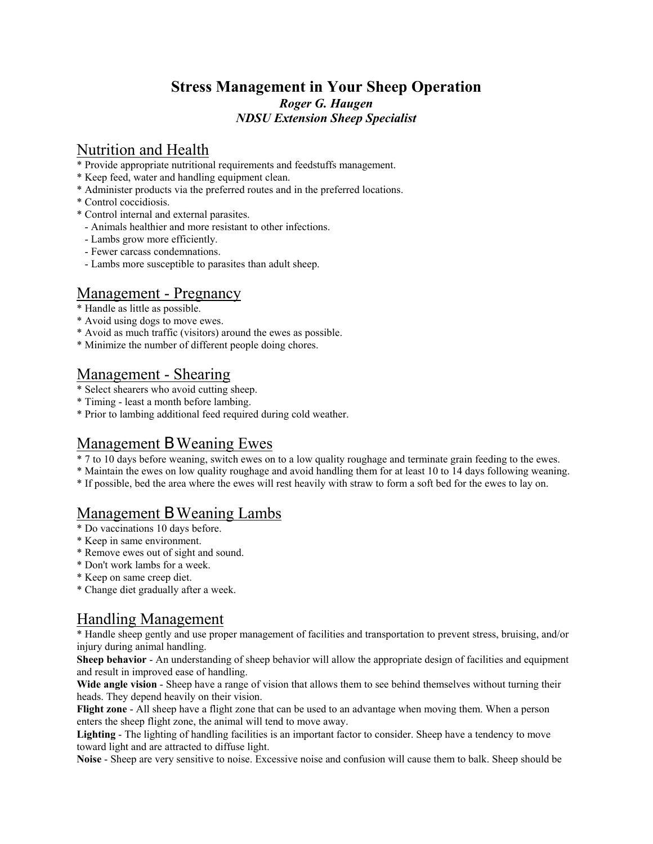### **Stress Management in Your Sheep Operation** *Roger G. Haugen NDSU Extension Sheep Specialist*

## Nutrition and Health

- \* Provide appropriate nutritional requirements and feedstuffs management.
- \* Keep feed, water and handling equipment clean.
- \* Administer products via the preferred routes and in the preferred locations.
- \* Control coccidiosis.
- \* Control internal and external parasites.
	- Animals healthier and more resistant to other infections.
	- Lambs grow more efficiently.
	- Fewer carcass condemnations.
	- Lambs more susceptible to parasites than adult sheep.

## Management - Pregnancy

- \* Handle as little as possible.
- \* Avoid using dogs to move ewes.
- \* Avoid as much traffic (visitors) around the ewes as possible.
- \* Minimize the number of different people doing chores.

# Management - Shearing

- \* Select shearers who avoid cutting sheep.
- \* Timing least a month before lambing.
- \* Prior to lambing additional feed required during cold weather.

### Management B Weaning Ewes

- \* 7 to 10 days before weaning, switch ewes on to a low quality roughage and terminate grain feeding to the ewes.
- \* Maintain the ewes on low quality roughage and avoid handling them for at least 10 to 14 days following weaning.
- \* If possible, bed the area where the ewes will rest heavily with straw to form a soft bed for the ewes to lay on.

### Management B Weaning Lambs

- \* Do vaccinations 10 days before.
- \* Keep in same environment.
- \* Remove ewes out of sight and sound.
- \* Don't work lambs for a week.
- \* Keep on same creep diet.
- \* Change diet gradually after a week.

### Handling Management

\* Handle sheep gently and use proper management of facilities and transportation to prevent stress, bruising, and/or injury during animal handling.

**Sheep behavior** - An understanding of sheep behavior will allow the appropriate design of facilities and equipment and result in improved ease of handling.

**Wide angle vision** - Sheep have a range of vision that allows them to see behind themselves without turning their heads. They depend heavily on their vision.

**Flight zone** - All sheep have a flight zone that can be used to an advantage when moving them. When a person enters the sheep flight zone, the animal will tend to move away.

**Lighting** - The lighting of handling facilities is an important factor to consider. Sheep have a tendency to move toward light and are attracted to diffuse light.

**Noise** - Sheep are very sensitive to noise. Excessive noise and confusion will cause them to balk. Sheep should be